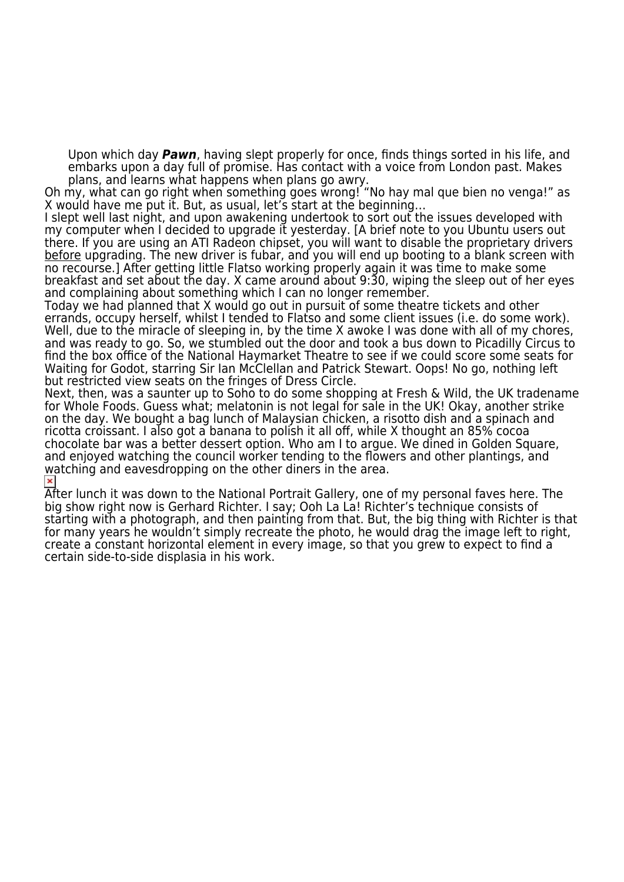Upon which day *Pawn*, having slept properly for once, finds things sorted in his life, and embarks upon a day full of promise. Has contact with a voice from London past. Makes plans, and learns what happens when plans go awry.

Oh my, what can go right when something goes wrong! "No hay mal que bien no venga!" as X would have me put it. But, as usual, let's start at the beginning…

I slept well last night, and upon awakening undertook to sort out the issues developed with my computer when I decided to upgrade it yesterday. [A brief note to you Ubuntu users out there. If you are using an ATI Radeon chipset, you will want to disable the proprietary drivers before upgrading. The new driver is fubar, and you will end up booting to a blank screen with no recourse.] After getting little Flatso working properly again it was time to make some breakfast and set about the day. X came around about 9:30, wiping the sleep out of her eyes and complaining about something which I can no longer remember.

Today we had planned that X would go out in pursuit of some theatre tickets and other errands, occupy herself, whilst I tended to Flatso and some client issues (i.e. do some work). Well, due to the miracle of sleeping in, by the time X awoke I was done with all of my chores, and was ready to go. So, we stumbled out the door and took a bus down to Picadilly Circus to find the box office of the National Haymarket Theatre to see if we could score some seats for Waiting for Godot, starring Sir Ian McClellan and Patrick Stewart. Oops! No go, nothing left but restricted view seats on the fringes of Dress Circle.

Next, then, was a saunter up to Soho to do some shopping at Fresh & Wild, the UK tradename for Whole Foods. Guess what; melatonin is not legal for sale in the UK! Okay, another strike on the day. We bought a bag lunch of Malaysian chicken, a risotto dish and a spinach and ricotta croissant. I also got a banana to polish it all off, while X thought an 85% cocoa chocolate bar was a better dessert option. Who am I to argue. We dined in Golden Square, and enjoyed watching the council worker tending to the flowers and other plantings, and watching and eavesdropping on the other diners in the area.

After lunch it was down to the National Portrait Gallery, one of my personal faves here. The big show right now is Gerhard Richter. I say; Ooh La La! Richter's technique consists of starting with a photograph, and then painting from that. But, the big thing with Richter is that for many years he wouldn't simply recreate the photo, he would drag the image left to right, create a constant horizontal element in every image, so that you grew to expect to find a certain side-to-side displasia in his work.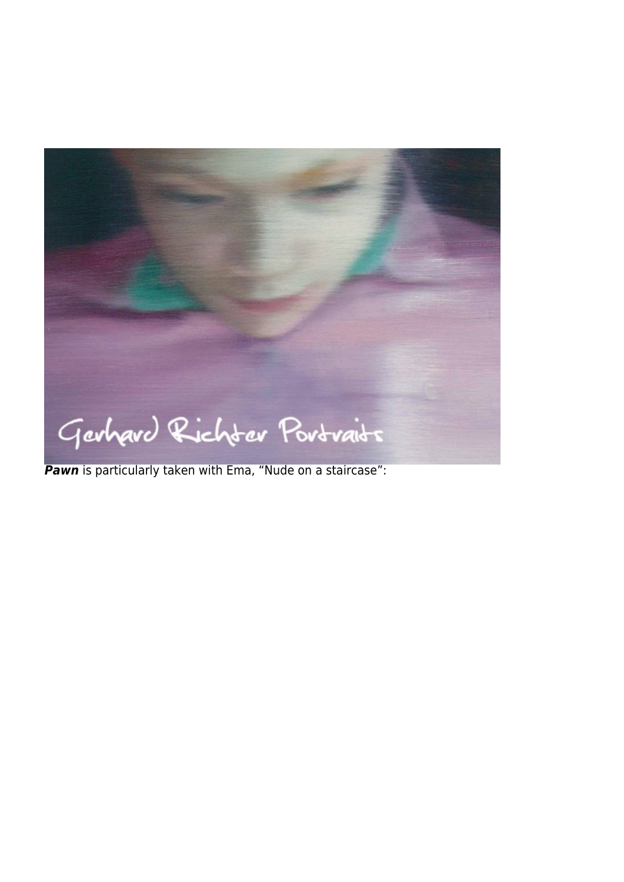

*Pawn* is particularly taken with Ema, "Nude on a staircase":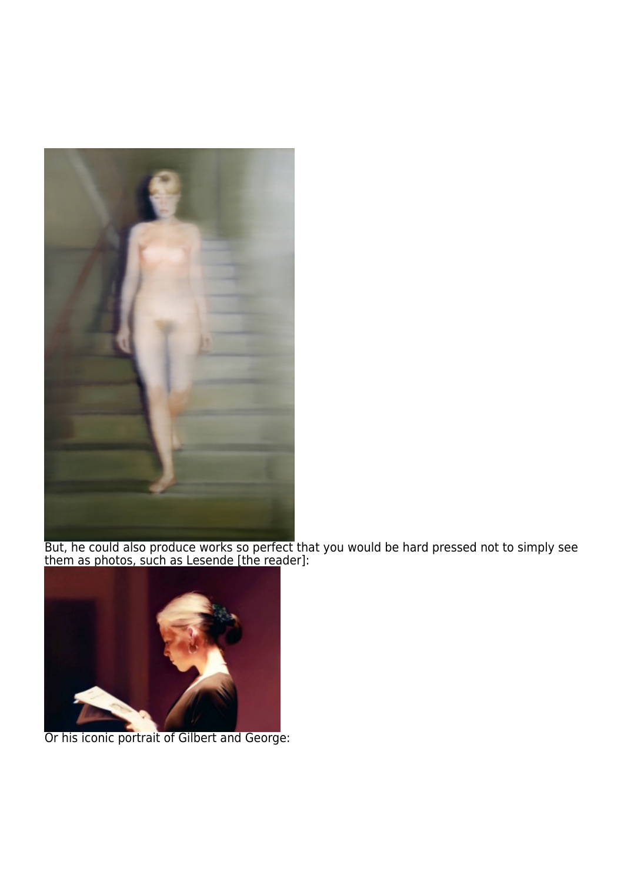

But, he could also produce works so perfect that you would be hard pressed not to simply see them as photos, such as Lesende [the reader]:



Or his iconic portrait of Gilbert and George: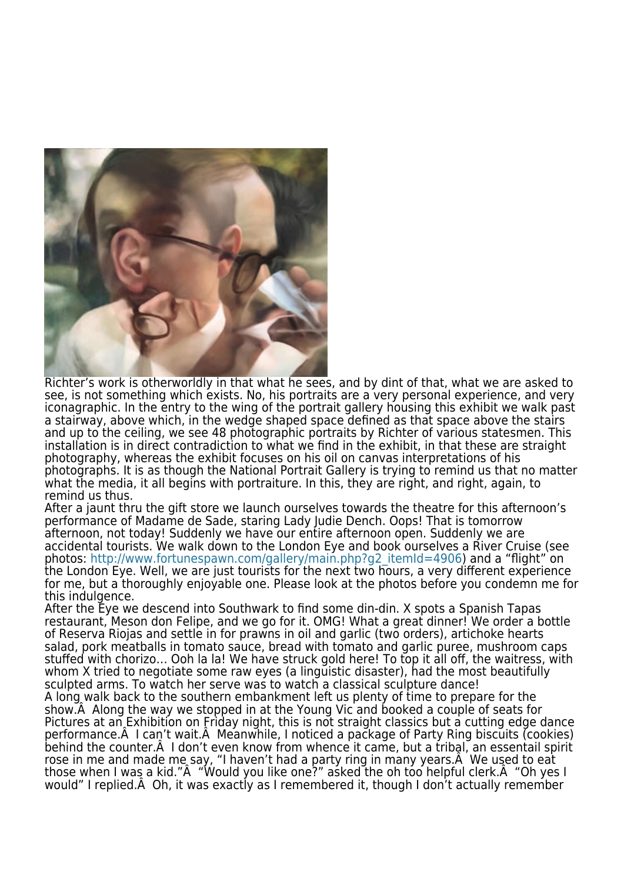

Richter's work is otherworldly in that what he sees, and by dint of that, what we are asked to see, is not something which exists. No, his portraits are a very personal experience, and very iconagraphic. In the entry to the wing of the portrait gallery housing this exhibit we walk past a stairway, above which, in the wedge shaped space defined as that space above the stairs and up to the ceiling, we see 48 photographic portraits by Richter of various statesmen. This installation is in direct contradiction to what we find in the exhibit, in that these are straight photography, whereas the exhibit focuses on his oil on canvas interpretations of his photographs. It is as though the National Portrait Gallery is trying to remind us that no matter what the media, it all begins with portraiture. In this, they are right, and right, again, to remind us thus.

After a jaunt thru the gift store we launch ourselves towards the theatre for this afternoon's performance of Madame de Sade, staring Lady Judie Dench. Oops! That is tomorrow afternoon, not today! Suddenly we have our entire afternoon open. Suddenly we are accidental tourists. We walk down to the London Eye and book ourselves a River Cruise (see photos: [http://www.fortunespawn.com/gallery/main.php?g2\\_itemId=4906\)](https://www.fortunespawn.com/gallery/main.php?g2_itemId=4906) and a "flight" on the London Eye. Well, we are just tourists for the next two hours, a very different experience for me, but a thoroughly enjoyable one. Please look at the photos before you condemn me for this indulgence.

After the Eye we descend into Southwark to find some din-din. X spots a Spanish Tapas restaurant, Meson don Felipe, and we go for it. OMG! What a great dinner! We order a bottle of Reserva Riojas and settle in for prawns in oil and garlic (two orders), artichoke hearts salad, pork meatballs in tomato sauce, bread with tomato and garlic puree, mushroom caps stuffed with chorizo… Ooh la la! We have struck gold here! To top it all off, the waitress, with whom X tried to negotiate some raw eyes (a linguistic disaster), had the most beautifully sculpted arms. To watch her serve was to watch a classical sculpture dance! A long walk back to the southern embankment left us plenty of time to prepare for the show. A Along the way we stopped in at the Young Vic and booked a couple of seats for Pictures at an Exhibition on Friday night, this is not straight classics but a cutting edge dance performance. A I can't wait. A Meanwhile, I noticed a package of Party Ring biscuits (cookies) behind the counter. A I don't even know from whence it came, but a tribal, an essentail spirit rose in me and made me say, "I haven't had a party ring in many years. A We used to eat those when I was a kid."A "Would you like one?" asked the oh too helpful clerk.A "Oh yes I would" I replied. A Oh, it was exactly as I remembered it, though I don't actually remember